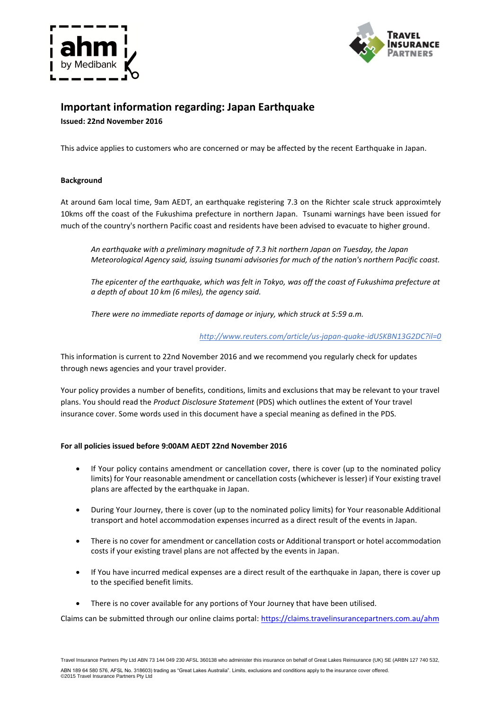



# **Important information regarding: Japan Earthquake Issued: 22nd November 2016**

This advice applies to customers who are concerned or may be affected by the recent Earthquake in Japan.

## **Background**

At around 6am local time, 9am AEDT, an earthquake registering 7.3 on the Richter scale struck approximtely 10kms off the coast of the Fukushima prefecture in northern Japan. Tsunami warnings have been issued for much of the country's northern Pacific coast and residents have been advised to evacuate to higher ground.

*An earthquake with a preliminary magnitude of 7.3 hit northern Japan on Tuesday, the Japan Meteorological Agency said, issuing tsunami advisories for much of the nation's northern Pacific coast.*

*The epicenter of the earthquake, which was felt in Tokyo, was off the coast of Fukushima prefecture at a depth of about 10 km (6 miles), the agency said.*

*There were no immediate reports of damage or injury, which struck at 5:59 a.m.*

*http://www.reuters.com/article/us-japan-quake-idUSKBN13G2DC?il=0*

This information is current to 22nd November 2016 and we recommend you regularly check for updates through news agencies and your travel provider.

Your policy provides a number of benefits, conditions, limits and exclusions that may be relevant to your travel plans. You should read the *Product Disclosure Statement* (PDS) which outlines the extent of Your travel insurance cover. Some words used in this document have a special meaning as defined in the PDS.

## **For all policies issued before 9:00AM AEDT 22nd November 2016**

- If Your policy contains amendment or cancellation cover, there is cover (up to the nominated policy limits) for Your reasonable amendment or cancellation costs (whichever is lesser) if Your existing travel plans are affected by the earthquake in Japan.
- During Your Journey, there is cover (up to the nominated policy limits) for Your reasonable Additional transport and hotel accommodation expenses incurred as a direct result of the events in Japan.
- There is no cover for amendment or cancellation costs or Additional transport or hotel accommodation costs if your existing travel plans are not affected by the events in Japan.
- If You have incurred medical expenses are a direct result of the earthquake in Japan, there is cover up to the specified benefit limits.
- There is no cover available for any portions of Your Journey that have been utilised.

Claims can be submitted through our online claims portal[: https://claims.travelinsurancepartners.com.au/a](https://claims.travelinsurancepartners.com.au/)hm